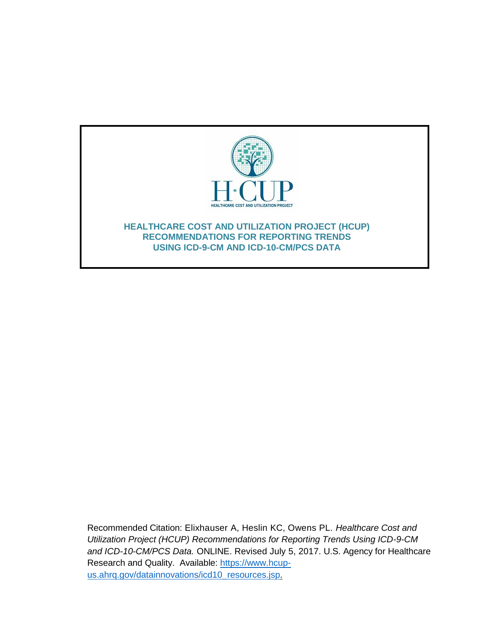

Recommended Citation: Elixhauser A, Heslin KC, Owens PL. *Healthcare Cost and Utilization Project (HCUP) Recommendations for Reporting Trends Using ICD-9-CM and ICD-10-CM/PCS Data.* ONLINE. Revised July 5, 2017. U.S. Agency for Healthcare Research and Quality. Available: [https://www.hcup](http://www.hcup-us.ahrq.gov/reports/methods/methods.jsp)[us.ahrq.gov/datainnovations/icd10\\_resources.jsp.](http://www.hcup-us.ahrq.gov/reports/methods/methods.jsp)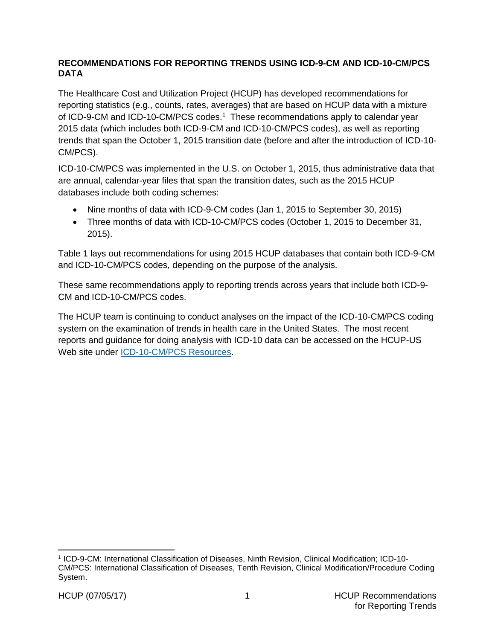## **RECOMMENDATIONS FOR REPORTING TRENDS USING ICD-9-CM AND ICD-10-CM/PCS DATA**

The Healthcare Cost and Utilization Project (HCUP) has developed recommendations for reporting statistics (e.g., counts, rates, averages) that are based on HCUP data with a mixture of ICD-9-CM and ICD-10-CM/PCS codes. <sup>1</sup> These recommendations apply to calendar year 2015 data (which includes both ICD-9-CM and ICD-10-CM/PCS codes), as well as reporting trends that span the October 1, 2015 transition date (before and after the introduction of ICD-10- CM/PCS).

ICD-10-CM/PCS was implemented in the U.S. on October 1, 2015, thus administrative data that are annual, calendar-year files that span the transition dates, such as the 2015 HCUP databases include both coding schemes:

- Nine months of data with ICD-9-CM codes (Jan 1, 2015 to September 30, 2015)
- Three months of data with ICD-10-CM/PCS codes (October 1, 2015 to December 31, 2015).

Table 1 lays out recommendations for using 2015 HCUP databases that contain both ICD-9-CM and ICD-10-CM/PCS codes, depending on the purpose of the analysis.

These same recommendations apply to reporting trends across years that include both ICD-9- CM and ICD-10-CM/PCS codes.

The HCUP team is continuing to conduct analyses on the impact of the ICD-10-CM/PCS coding system on the examination of trends in health care in the United States. The most recent reports and guidance for doing analysis with ICD-10 data can be accessed on the HCUP-US Web site under [ICD-10-CM/PCS Resources.](https://www.hcup-us.ahrq.gov/datainnovations/icd10_resources.jsp)

 $\overline{a}$ 

<sup>1</sup> ICD-9-CM: International Classification of Diseases, Ninth Revision, Clinical Modification; ICD-10- CM/PCS: International Classification of Diseases, Tenth Revision, Clinical Modification/Procedure Coding System.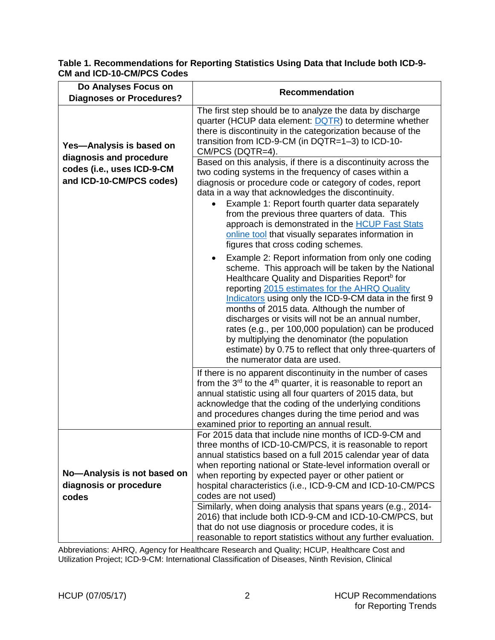| Do Analyses Focus on                                                                                          |                                                                                                                                                                                                                                                                                                                                                                                                                                                                                                                                                                                               |
|---------------------------------------------------------------------------------------------------------------|-----------------------------------------------------------------------------------------------------------------------------------------------------------------------------------------------------------------------------------------------------------------------------------------------------------------------------------------------------------------------------------------------------------------------------------------------------------------------------------------------------------------------------------------------------------------------------------------------|
| <b>Diagnoses or Procedures?</b>                                                                               | <b>Recommendation</b>                                                                                                                                                                                                                                                                                                                                                                                                                                                                                                                                                                         |
| Yes-Analysis is based on<br>diagnosis and procedure<br>codes (i.e., uses ICD-9-CM<br>and ICD-10-CM/PCS codes) | The first step should be to analyze the data by discharge<br>quarter (HCUP data element: DQTR) to determine whether<br>there is discontinuity in the categorization because of the<br>transition from ICD-9-CM (in DQTR=1-3) to ICD-10-<br>CM/PCS (DQTR=4).<br>Based on this analysis, if there is a discontinuity across the<br>two coding systems in the frequency of cases within a<br>diagnosis or procedure code or category of codes, report<br>data in a way that acknowledges the discontinuity.                                                                                      |
|                                                                                                               | Example 1: Report fourth quarter data separately<br>from the previous three quarters of data. This<br>approach is demonstrated in the <b>HCUP Fast Stats</b><br>online tool that visually separates information in<br>figures that cross coding schemes.                                                                                                                                                                                                                                                                                                                                      |
|                                                                                                               | Example 2: Report information from only one coding<br>scheme. This approach will be taken by the National<br>Healthcare Quality and Disparities Report <sup>b</sup> for<br>reporting 2015 estimates for the AHRQ Quality<br>Indicators using only the ICD-9-CM data in the first 9<br>months of 2015 data. Although the number of<br>discharges or visits will not be an annual number,<br>rates (e.g., per 100,000 population) can be produced<br>by multiplying the denominator (the population<br>estimate) by 0.75 to reflect that only three-quarters of<br>the numerator data are used. |
|                                                                                                               | If there is no apparent discontinuity in the number of cases<br>from the $3^{rd}$ to the $4^{th}$ quarter, it is reasonable to report an<br>annual statistic using all four quarters of 2015 data, but<br>acknowledge that the coding of the underlying conditions<br>and procedures changes during the time period and was<br>examined prior to reporting an annual result.                                                                                                                                                                                                                  |
|                                                                                                               | For 2015 data that include nine months of ICD-9-CM and<br>three months of ICD-10-CM/PCS, it is reasonable to report<br>annual statistics based on a full 2015 calendar year of data<br>when reporting national or State-level information overall or                                                                                                                                                                                                                                                                                                                                          |
| No-Analysis is not based on                                                                                   | when reporting by expected payer or other patient or                                                                                                                                                                                                                                                                                                                                                                                                                                                                                                                                          |
| diagnosis or procedure                                                                                        | hospital characteristics (i.e., ICD-9-CM and ICD-10-CM/PCS                                                                                                                                                                                                                                                                                                                                                                                                                                                                                                                                    |
| codes                                                                                                         | codes are not used)                                                                                                                                                                                                                                                                                                                                                                                                                                                                                                                                                                           |
|                                                                                                               | Similarly, when doing analysis that spans years (e.g., 2014-<br>2016) that include both ICD-9-CM and ICD-10-CM/PCS, but<br>that do not use diagnosis or procedure codes, it is<br>reasonable to report statistics without any further evaluation.                                                                                                                                                                                                                                                                                                                                             |

## **Table 1. Recommendations for Reporting Statistics Using Data that Include both ICD-9- CM and ICD-10-CM/PCS Codes**

Abbreviations: AHRQ, Agency for Healthcare Research and Quality; HCUP, Healthcare Cost and Utilization Project; ICD-9-CM: International Classification of Diseases, Ninth Revision, Clinical